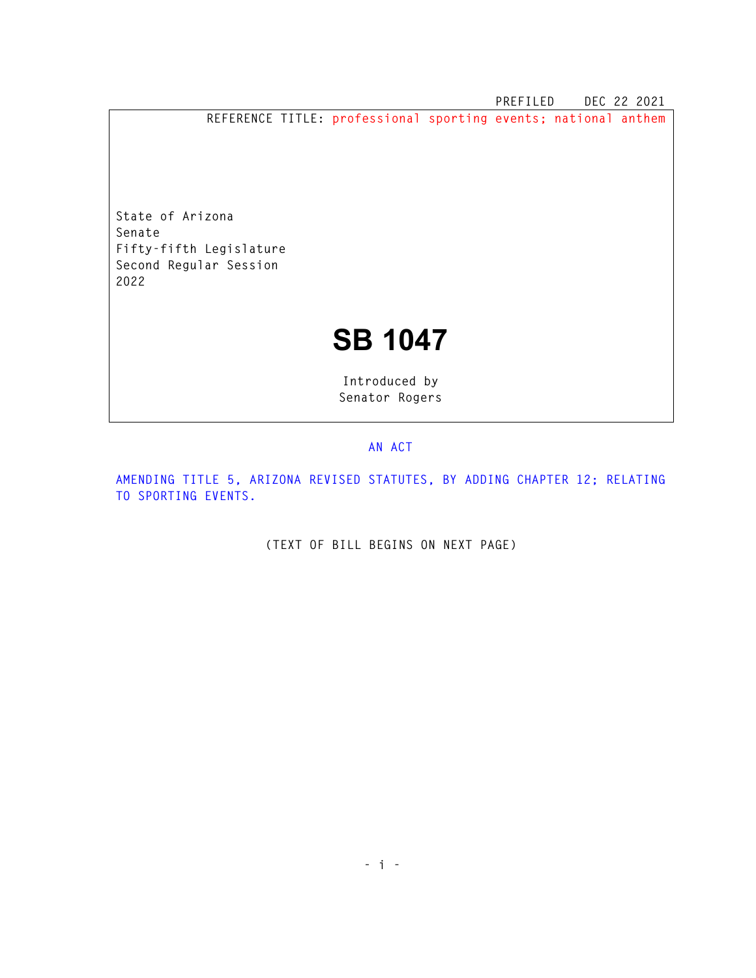**PREFILED DEC 22 2021** 

**REFERENCE TITLE: professional sporting events; national anthem** 

**State of Arizona Senate Fifty-fifth Legislature Second Regular Session 2022** 

## **SB 1047**

**Introduced by Senator Rogers** 

## **AN ACT**

**AMENDING TITLE 5, ARIZONA REVISED STATUTES, BY ADDING CHAPTER 12; RELATING TO SPORTING EVENTS.** 

**(TEXT OF BILL BEGINS ON NEXT PAGE)**